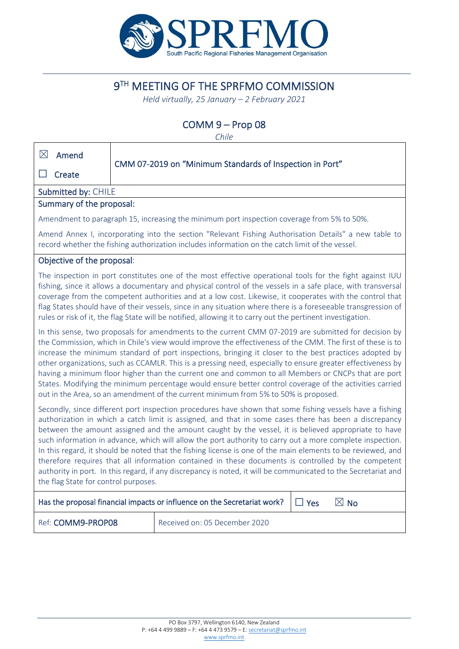

# 9TH MEETING OF THE SPRFMO COMMISSION

*Held virtually, 25 January – 2 February 2021*

# COMM 9 – Prop 08

*Chile*

| $\boxtimes$<br>Amend                                                                                                                                                                                                                                                                                                                                                                                                                                                                                                                                                                                                                                                                                                                                                                                                  |                                                                                                                                                                                                                                                                                                                                                                                                                                                                                                                                                                                                                                                                                                                                                      |                                                                                                                                                                                                                                                                                                                                                                                                                                                                                                                                                                       |  |  |  |  |
|-----------------------------------------------------------------------------------------------------------------------------------------------------------------------------------------------------------------------------------------------------------------------------------------------------------------------------------------------------------------------------------------------------------------------------------------------------------------------------------------------------------------------------------------------------------------------------------------------------------------------------------------------------------------------------------------------------------------------------------------------------------------------------------------------------------------------|------------------------------------------------------------------------------------------------------------------------------------------------------------------------------------------------------------------------------------------------------------------------------------------------------------------------------------------------------------------------------------------------------------------------------------------------------------------------------------------------------------------------------------------------------------------------------------------------------------------------------------------------------------------------------------------------------------------------------------------------------|-----------------------------------------------------------------------------------------------------------------------------------------------------------------------------------------------------------------------------------------------------------------------------------------------------------------------------------------------------------------------------------------------------------------------------------------------------------------------------------------------------------------------------------------------------------------------|--|--|--|--|
| Create                                                                                                                                                                                                                                                                                                                                                                                                                                                                                                                                                                                                                                                                                                                                                                                                                | CMM 07-2019 on "Minimum Standards of Inspection in Port"                                                                                                                                                                                                                                                                                                                                                                                                                                                                                                                                                                                                                                                                                             |                                                                                                                                                                                                                                                                                                                                                                                                                                                                                                                                                                       |  |  |  |  |
| Submitted by: CHILE                                                                                                                                                                                                                                                                                                                                                                                                                                                                                                                                                                                                                                                                                                                                                                                                   |                                                                                                                                                                                                                                                                                                                                                                                                                                                                                                                                                                                                                                                                                                                                                      |                                                                                                                                                                                                                                                                                                                                                                                                                                                                                                                                                                       |  |  |  |  |
| Summary of the proposal:                                                                                                                                                                                                                                                                                                                                                                                                                                                                                                                                                                                                                                                                                                                                                                                              |                                                                                                                                                                                                                                                                                                                                                                                                                                                                                                                                                                                                                                                                                                                                                      |                                                                                                                                                                                                                                                                                                                                                                                                                                                                                                                                                                       |  |  |  |  |
|                                                                                                                                                                                                                                                                                                                                                                                                                                                                                                                                                                                                                                                                                                                                                                                                                       |                                                                                                                                                                                                                                                                                                                                                                                                                                                                                                                                                                                                                                                                                                                                                      | Amendment to paragraph 15, increasing the minimum port inspection coverage from 5% to 50%.                                                                                                                                                                                                                                                                                                                                                                                                                                                                            |  |  |  |  |
|                                                                                                                                                                                                                                                                                                                                                                                                                                                                                                                                                                                                                                                                                                                                                                                                                       |                                                                                                                                                                                                                                                                                                                                                                                                                                                                                                                                                                                                                                                                                                                                                      | Amend Annex I, incorporating into the section "Relevant Fishing Authorisation Details" a new table to<br>record whether the fishing authorization includes information on the catch limit of the vessel.                                                                                                                                                                                                                                                                                                                                                              |  |  |  |  |
| Objective of the proposal:                                                                                                                                                                                                                                                                                                                                                                                                                                                                                                                                                                                                                                                                                                                                                                                            |                                                                                                                                                                                                                                                                                                                                                                                                                                                                                                                                                                                                                                                                                                                                                      |                                                                                                                                                                                                                                                                                                                                                                                                                                                                                                                                                                       |  |  |  |  |
|                                                                                                                                                                                                                                                                                                                                                                                                                                                                                                                                                                                                                                                                                                                                                                                                                       |                                                                                                                                                                                                                                                                                                                                                                                                                                                                                                                                                                                                                                                                                                                                                      | The inspection in port constitutes one of the most effective operational tools for the fight against IUU<br>fishing, since it allows a documentary and physical control of the vessels in a safe place, with transversal<br>coverage from the competent authorities and at a low cost. Likewise, it cooperates with the control that<br>flag States should have of their vessels, since in any situation where there is a foreseeable transgression of<br>rules or risk of it, the flag State will be notified, allowing it to carry out the pertinent investigation. |  |  |  |  |
|                                                                                                                                                                                                                                                                                                                                                                                                                                                                                                                                                                                                                                                                                                                                                                                                                       | In this sense, two proposals for amendments to the current CMM 07-2019 are submitted for decision by<br>the Commission, which in Chile's view would improve the effectiveness of the CMM. The first of these is to<br>increase the minimum standard of port inspections, bringing it closer to the best practices adopted by<br>other organizations, such as CCAMLR. This is a pressing need, especially to ensure greater effectiveness by<br>having a minimum floor higher than the current one and common to all Members or CNCPs that are port<br>States. Modifying the minimum percentage would ensure better control coverage of the activities carried<br>out in the Area, so an amendment of the current minimum from 5% to 50% is proposed. |                                                                                                                                                                                                                                                                                                                                                                                                                                                                                                                                                                       |  |  |  |  |
| Secondly, since different port inspection procedures have shown that some fishing vessels have a fishing<br>authorization in which a catch limit is assigned, and that in some cases there has been a discrepancy<br>between the amount assigned and the amount caught by the vessel, it is believed appropriate to have<br>such information in advance, which will allow the port authority to carry out a more complete inspection.<br>In this regard, it should be noted that the fishing license is one of the main elements to be reviewed, and<br>therefore requires that all information contained in these documents is controlled by the competent<br>authority in port. In this regard, if any discrepancy is noted, it will be communicated to the Secretariat and<br>the flag State for control purposes. |                                                                                                                                                                                                                                                                                                                                                                                                                                                                                                                                                                                                                                                                                                                                                      |                                                                                                                                                                                                                                                                                                                                                                                                                                                                                                                                                                       |  |  |  |  |
| $\boxtimes$ No<br>Has the proposal financial impacts or influence on the Secretariat work?<br>$\Box$ Yes                                                                                                                                                                                                                                                                                                                                                                                                                                                                                                                                                                                                                                                                                                              |                                                                                                                                                                                                                                                                                                                                                                                                                                                                                                                                                                                                                                                                                                                                                      |                                                                                                                                                                                                                                                                                                                                                                                                                                                                                                                                                                       |  |  |  |  |
| Ref: COMM9-PROP08                                                                                                                                                                                                                                                                                                                                                                                                                                                                                                                                                                                                                                                                                                                                                                                                     |                                                                                                                                                                                                                                                                                                                                                                                                                                                                                                                                                                                                                                                                                                                                                      | Received on: 05 December 2020                                                                                                                                                                                                                                                                                                                                                                                                                                                                                                                                         |  |  |  |  |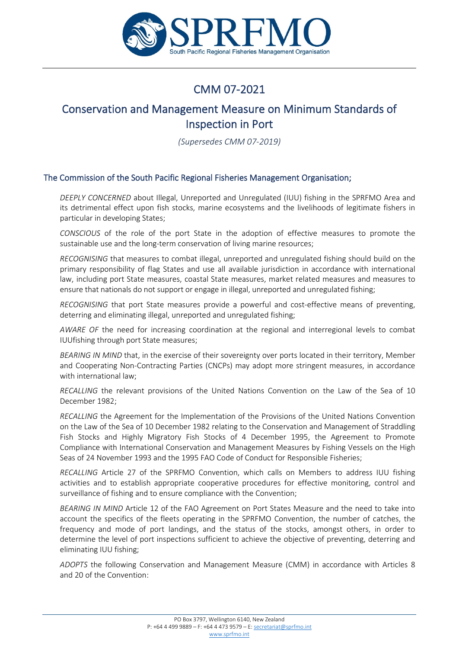

# CMM 07-2021

# Conservation and Management Measure on Minimum Standards of Inspection in Port

*(Supersedes CMM 07-2019)*

#### The Commission of the South Pacific Regional Fisheries Management Organisation;

*DEEPLY CONCERNED* about Illegal, Unreported and Unregulated (IUU) fishing in the SPRFMO Area and its detrimental effect upon fish stocks, marine ecosystems and the livelihoods of legitimate fishers in particular in developing States;

*CONSCIOUS* of the role of the port State in the adoption of effective measures to promote the sustainable use and the long-term conservation of living marine resources;

*RECOGNISING* that measures to combat illegal, unreported and unregulated fishing should build on the primary responsibility of flag States and use all available jurisdiction in accordance with international law, including port State measures, coastal State measures, market related measures and measures to ensure that nationals do not support or engage in illegal, unreported and unregulated fishing;

*RECOGNISING* that port State measures provide a powerful and cost-effective means of preventing, deterring and eliminating illegal, unreported and unregulated fishing;

*AWARE OF* the need for increasing coordination at the regional and interregional levels to combat IUUfishing through port State measures;

*BEARING IN MIND* that, in the exercise of their sovereignty over ports located in their territory, Member and Cooperating Non-Contracting Parties (CNCPs) may adopt more stringent measures, in accordance with international law;

*RECALLING* the relevant provisions of the United Nations Convention on the Law of the Sea of 10 December 1982;

*RECALLING* the Agreement for the Implementation of the Provisions of the United Nations Convention on the Law of the Sea of 10 December 1982 relating to the Conservation and Management of Straddling Fish Stocks and Highly Migratory Fish Stocks of 4 December 1995, the Agreement to Promote Compliance with International Conservation and Management Measures by Fishing Vessels on the High Seas of 24 November 1993 and the 1995 FAO Code of Conduct for Responsible Fisheries;

*RECALLING* Article 27 of the SPRFMO Convention, which calls on Members to address IUU fishing activities and to establish appropriate cooperative procedures for effective monitoring, control and surveillance of fishing and to ensure compliance with the Convention;

*BEARING IN MIND* Article 12 of the FAO Agreement on Port States Measure and the need to take into account the specifics of the fleets operating in the SPRFMO Convention, the number of catches, the frequency and mode of port landings, and the status of the stocks, amongst others, in order to determine the level of port inspections sufficient to achieve the objective of preventing, deterring and eliminating IUU fishing;

*ADOPTS* the following Conservation and Management Measure (CMM) in accordance with Articles 8 and 20 of the Convention: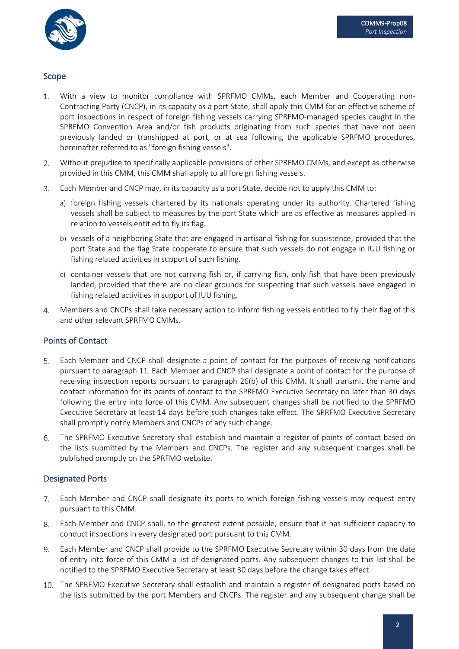

#### Scope

- With a view to monitor compliance with SPRFMO CMMs, each Member and Cooperating non-1. Contracting Party (CNCP), in its capacity as a port State, shall apply this CMM for an effective scheme of port inspections in respect of foreign fishing vessels carrying SPRFMO-managed species caught in the SPRFMO Convention Area and/or fish products originating from such species that have not been previously landed or transhipped at port, or at sea following the applicable SPRFMO procedures, hereinafter referred to as "foreign fishing vessels".
- Without prejudice to specifically applicable provisions of other SPRFMO CMMs, and except as otherwise  $2.$ provided in this CMM, this CMM shall apply to all foreign fishing vessels.
- 3. Each Member and CNCP may, in its capacity as a port State, decide not to apply this CMM to:
	- a) foreign fishing vessels chartered by its nationals operating under its authority. Chartered fishing vessels shall be subject to measures by the port State which are as effective as measures applied in relation to vessels entitled to fly its flag.
	- b) vessels of a neighboring State that are engaged in artisanal fishing for subsistence, provided that the port State and the flag State cooperate to ensure that such vessels do not engage in IUU fishing or fishing related activities in support of such fishing.
	- c) container vessels that are not carrying fish or, if carrying fish, only fish that have been previously landed, provided that there are no clear grounds for suspecting that such vessels have engaged in fishing related activities in support of IUU fishing.
- Members and CNCPs shall take necessary action to inform fishing vessels entitled to fly their flag of this 4. and other relevant SPRFMO CMMs.

#### Points of Contact

- 5. Each Member and CNCP shall designate a point of contact for the purposes of receiving notifications pursuant to paragraph 11. Each Member and CNCP shall designate a point of contact for the purpose of receiving inspection reports pursuant to paragraph 26(b) of this CMM. It shall transmit the name and contact information for its points of contact to the SPRFMO Executive Secretary no later than 30 days following the entry into force of this CMM. Any subsequent changes shall be notified to the SPRFMO Executive Secretary at least 14 days before such changes take effect. The SPRFMO Executive Secretary shall promptly notify Members and CNCPs of any such change.
- The SPRFMO Executive Secretary shall establish and maintain a register of points of contact based on 6. the lists submitted by the Members and CNCPs. The register and any subsequent changes shall be published promptly on the SPRFMO website.

#### Designated Ports

- Each Member and CNCP shall designate its ports to which foreign fishing vessels may request entry  $7.$ pursuant to this CMM.
- Each Member and CNCP shall, to the greatest extent possible, ensure that it has sufficient capacity to 8. conduct inspections in every designated port pursuant to this CMM.
- 9. Each Member and CNCP shall provide to the SPRFMO Executive Secretary within 30 days from the date of entry into force of this CMM a list of designated ports. Any subsequent changes to this list shall be notified to the SPRFMO Executive Secretary at least 30 days before the change takes effect.
- 10. The SPRFMO Executive Secretary shall establish and maintain a register of designated ports based on the lists submitted by the port Members and CNCPs. The register and any subsequent change shall be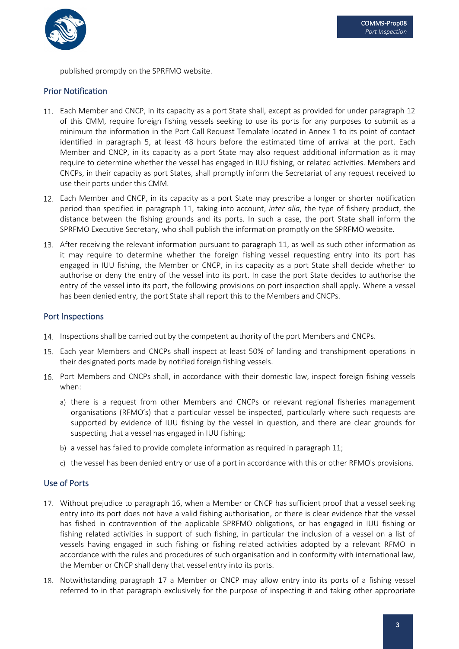

published promptly on the SPRFMO website.

#### Prior Notification

- Each Member and CNCP, in its capacity as a port State shall, except as provided for under paragraph 12 of this CMM, require foreign fishing vessels seeking to use its ports for any purposes to submit as a minimum the information in the Port Call Request Template located in Annex 1 to its point of contact identified in paragraph 5, at least 48 hours before the estimated time of arrival at the port. Each Member and CNCP, in its capacity as a port State may also request additional information as it may require to determine whether the vessel has engaged in IUU fishing, or related activities. Members and CNCPs, in their capacity as port States, shall promptly inform the Secretariat of any request received to use their ports under this CMM.
- Each Member and CNCP, in its capacity as a port State may prescribe a longer or shorter notification period than specified in paragraph 11, taking into account, *inter alia*, the type of fishery product, the distance between the fishing grounds and its ports. In such a case, the port State shall inform the SPRFMO Executive Secretary, who shall publish the information promptly on the SPRFMO website.
- After receiving the relevant information pursuant to paragraph 11, as well as such other information as it may require to determine whether the foreign fishing vessel requesting entry into its port has engaged in IUU fishing, the Member or CNCP, in its capacity as a port State shall decide whether to authorise or deny the entry of the vessel into its port. In case the port State decides to authorise the entry of the vessel into its port, the following provisions on port inspection shall apply. Where a vessel has been denied entry, the port State shall report this to the Members and CNCPs.

#### Port Inspections

- 14. Inspections shall be carried out by the competent authority of the port Members and CNCPs.
- Each year Members and CNCPs shall inspect at least 50% of landing and transhipment operations in their designated ports made by notified foreign fishing vessels.
- Port Members and CNCPs shall, in accordance with their domestic law, inspect foreign fishing vessels when:
	- a) there is a request from other Members and CNCPs or relevant regional fisheries management organisations (RFMO's) that a particular vessel be inspected, particularly where such requests are supported by evidence of IUU fishing by the vessel in question, and there are clear grounds for suspecting that a vessel has engaged in IUU fishing;
	- b) a vessel has failed to provide complete information as required in paragraph 11;
	- c) the vessel has been denied entry or use of a port in accordance with this or other RFMO's provisions.

#### Use of Ports

- 17. Without prejudice to paragraph 16, when a Member or CNCP has sufficient proof that a vessel seeking entry into its port does not have a valid fishing authorisation, or there is clear evidence that the vessel has fished in contravention of the applicable SPRFMO obligations, or has engaged in IUU fishing or fishing related activities in support of such fishing, in particular the inclusion of a vessel on a list of vessels having engaged in such fishing or fishing related activities adopted by a relevant RFMO in accordance with the rules and procedures of such organisation and in conformity with international law, the Member or CNCP shall deny that vessel entry into its ports.
- 18. Notwithstanding paragraph 17 a Member or CNCP may allow entry into its ports of a fishing vessel referred to in that paragraph exclusively for the purpose of inspecting it and taking other appropriate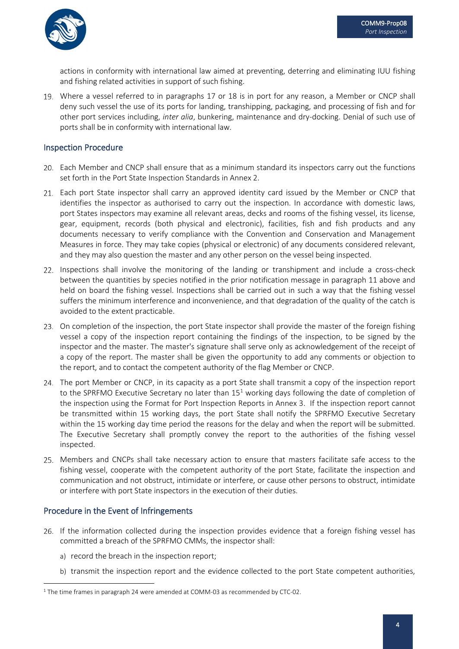

actions in conformity with international law aimed at preventing, deterring and eliminating IUU fishing and fishing related activities in support of such fishing.

Where a vessel referred to in paragraphs 17 or 18 is in port for any reason, a Member or CNCP shall deny such vessel the use of its ports for landing, transhipping, packaging, and processing of fish and for other port services including, *inter alia*, bunkering, maintenance and dry-docking. Denial of such use of ports shall be in conformity with international law.

#### Inspection Procedure

- Each Member and CNCP shall ensure that as a minimum standard its inspectors carry out the functions set forth in the Port State Inspection Standards in Annex 2.
- Each port State inspector shall carry an approved identity card issued by the Member or CNCP that identifies the inspector as authorised to carry out the inspection. In accordance with domestic laws, port States inspectors may examine all relevant areas, decks and rooms of the fishing vessel, its license, gear, equipment, records (both physical and electronic), facilities, fish and fish products and any documents necessary to verify compliance with the Convention and Conservation and Management Measures in force. They may take copies (physical or electronic) of any documents considered relevant, and they may also question the master and any other person on the vessel being inspected.
- 22. Inspections shall involve the monitoring of the landing or transhipment and include a cross-check between the quantities by species notified in the prior notification message in paragraph 11 above and held on board the fishing vessel. Inspections shall be carried out in such a way that the fishing vessel suffers the minimum interference and inconvenience, and that degradation of the quality of the catch is avoided to the extent practicable.
- 23. On completion of the inspection, the port State inspector shall provide the master of the foreign fishing vessel a copy of the inspection report containing the findings of the inspection, to be signed by the inspector and the master. The master's signature shall serve only as acknowledgement of the receipt of a copy of the report. The master shall be given the opportunity to add any comments or objection to the report, and to contact the competent authority of the flag Member or CNCP.
- 24. The port Member or CNCP, in its capacity as a port State shall transmit a copy of the inspection report to the SPRFMO Executive Secretary no later than  $15<sup>1</sup>$  $15<sup>1</sup>$  working days following the date of completion of the inspection using the Format for Port Inspection Reports in Annex 3. If the inspection report cannot be transmitted within 15 working days, the port State shall notify the SPRFMO Executive Secretary within the 15 working day time period the reasons for the delay and when the report will be submitted. The Executive Secretary shall promptly convey the report to the authorities of the fishing vessel inspected.
- Members and CNCPs shall take necessary action to ensure that masters facilitate safe access to the fishing vessel, cooperate with the competent authority of the port State, facilitate the inspection and communication and not obstruct, intimidate or interfere, or cause other persons to obstruct, intimidate or interfere with port State inspectors in the execution of their duties.

#### Procedure in the Event of Infringements

- 26. If the information collected during the inspection provides evidence that a foreign fishing vessel has committed a breach of the SPRFMO CMMs, the inspector shall:
	- a) record the breach in the inspection report;
	- b) transmit the inspection report and the evidence collected to the port State competent authorities,

<span id="page-4-0"></span><sup>&</sup>lt;sup>1</sup> The time frames in paragraph 24 were amended at COMM-03 as recommended by CTC-02.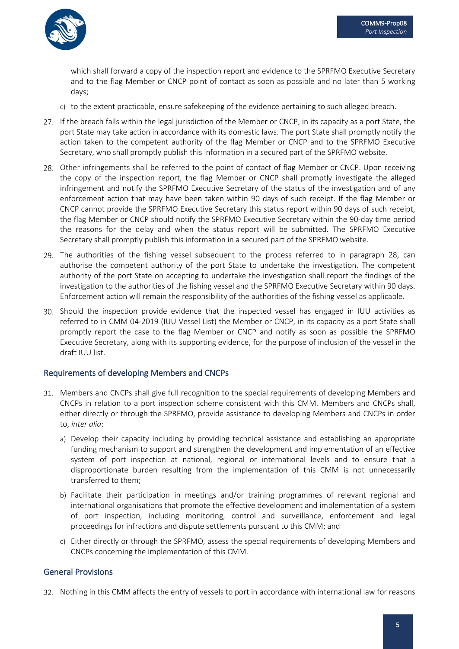

which shall forward a copy of the inspection report and evidence to the SPRFMO Executive Secretary and to the flag Member or CNCP point of contact as soon as possible and no later than 5 working days;

- c) to the extent practicable, ensure safekeeping of the evidence pertaining to such alleged breach.
- 27. If the breach falls within the legal jurisdiction of the Member or CNCP, in its capacity as a port State, the port State may take action in accordance with its domestic laws. The port State shall promptly notify the action taken to the competent authority of the flag Member or CNCP and to the SPRFMO Executive Secretary, who shall promptly publish this information in a secured part of the SPRFMO website.
- 28. Other infringements shall be referred to the point of contact of flag Member or CNCP. Upon receiving the copy of the inspection report, the flag Member or CNCP shall promptly investigate the alleged infringement and notify the SPRFMO Executive Secretary of the status of the investigation and of any enforcement action that may have been taken within 90 days of such receipt. If the flag Member or CNCP cannot provide the SPRFMO Executive Secretary this status report within 90 days of such receipt, the flag Member or CNCP should notify the SPRFMO Executive Secretary within the 90-day time period the reasons for the delay and when the status report will be submitted. The SPRFMO Executive Secretary shall promptly publish this information in a secured part of the SPRFMO website.
- 29. The authorities of the fishing vessel subsequent to the process referred to in paragraph 28, can authorise the competent authority of the port State to undertake the investigation. The competent authority of the port State on accepting to undertake the investigation shall report the findings of the investigation to the authorities of the fishing vessel and the SPRFMO Executive Secretary within 90 days. Enforcement action will remain the responsibility of the authorities of the fishing vessel as applicable.
- Should the inspection provide evidence that the inspected vessel has engaged in IUU activities as referred to in CMM 04-2019 (IUU Vessel List) the Member or CNCP, in its capacity as a port State shall promptly report the case to the flag Member or CNCP and notify as soon as possible the SPRFMO Executive Secretary, along with its supporting evidence, for the purpose of inclusion of the vessel in the draft IUU list.

#### Requirements of developing Members and CNCPs

- 31. Members and CNCPs shall give full recognition to the special requirements of developing Members and CNCPs in relation to a port inspection scheme consistent with this CMM. Members and CNCPs shall, either directly or through the SPRFMO, provide assistance to developing Members and CNCPs in order to, *inter alia*:
	- a) Develop their capacity including by providing technical assistance and establishing an appropriate funding mechanism to support and strengthen the development and implementation of an effective system of port inspection at national, regional or international levels and to ensure that a disproportionate burden resulting from the implementation of this CMM is not unnecessarily transferred to them;
	- b) Facilitate their participation in meetings and/or training programmes of relevant regional and international organisations that promote the effective development and implementation of a system of port inspection, including monitoring, control and surveillance, enforcement and legal proceedings for infractions and dispute settlements pursuant to this CMM; and
	- c) Either directly or through the SPRFMO, assess the special requirements of developing Members and CNCPs concerning the implementation of this CMM.

#### General Provisions

32. Nothing in this CMM affects the entry of vessels to port in accordance with international law for reasons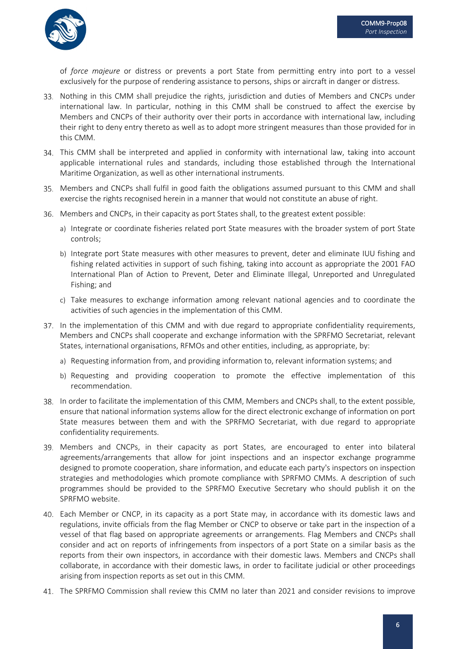

of *force majeure* or distress or prevents a port State from permitting entry into port to a vessel exclusively for the purpose of rendering assistance to persons, ships or aircraft in danger or distress.

- 33. Nothing in this CMM shall prejudice the rights, jurisdiction and duties of Members and CNCPs under international law. In particular, nothing in this CMM shall be construed to affect the exercise by Members and CNCPs of their authority over their ports in accordance with international law, including their right to deny entry thereto as well as to adopt more stringent measures than those provided for in this CMM.
- This CMM shall be interpreted and applied in conformity with international law, taking into account applicable international rules and standards, including those established through the International Maritime Organization, as well as other international instruments.
- 35. Members and CNCPs shall fulfil in good faith the obligations assumed pursuant to this CMM and shall exercise the rights recognised herein in a manner that would not constitute an abuse of right.
- 36. Members and CNCPs, in their capacity as port States shall, to the greatest extent possible:
	- a) Integrate or coordinate fisheries related port State measures with the broader system of port State controls;
	- b) Integrate port State measures with other measures to prevent, deter and eliminate IUU fishing and fishing related activities in support of such fishing, taking into account as appropriate the 2001 FAO International Plan of Action to Prevent, Deter and Eliminate Illegal, Unreported and Unregulated Fishing; and
	- c) Take measures to exchange information among relevant national agencies and to coordinate the activities of such agencies in the implementation of this CMM.
- 37. In the implementation of this CMM and with due regard to appropriate confidentiality requirements, Members and CNCPs shall cooperate and exchange information with the SPRFMO Secretariat, relevant States, international organisations, RFMOs and other entities, including, as appropriate, by:
	- a) Requesting information from, and providing information to, relevant information systems; and
	- b) Requesting and providing cooperation to promote the effective implementation of this recommendation.
- In order to facilitate the implementation of this CMM, Members and CNCPs shall, to the extent possible, ensure that national information systems allow for the direct electronic exchange of information on port State measures between them and with the SPRFMO Secretariat, with due regard to appropriate confidentiality requirements.
- 39. Members and CNCPs, in their capacity as port States, are encouraged to enter into bilateral agreements/arrangements that allow for joint inspections and an inspector exchange programme designed to promote cooperation, share information, and educate each party's inspectors on inspection strategies and methodologies which promote compliance with SPRFMO CMMs. A description of such programmes should be provided to the SPRFMO Executive Secretary who should publish it on the SPRFMO website.
- Each Member or CNCP, in its capacity as a port State may, in accordance with its domestic laws and regulations, invite officials from the flag Member or CNCP to observe or take part in the inspection of a vessel of that flag based on appropriate agreements or arrangements. Flag Members and CNCPs shall consider and act on reports of infringements from inspectors of a port State on a similar basis as the reports from their own inspectors, in accordance with their domestic laws. Members and CNCPs shall collaborate, in accordance with their domestic laws, in order to facilitate judicial or other proceedings arising from inspection reports as set out in this CMM.
- The SPRFMO Commission shall review this CMM no later than 2021 and consider revisions to improve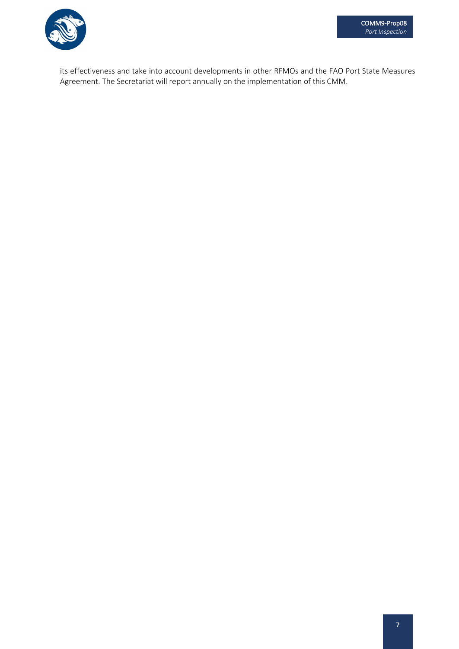

its effectiveness and take into account developments in other RFMOs and the FAO Port State Measures Agreement. The Secretariat will report annually on the implementation of this CMM.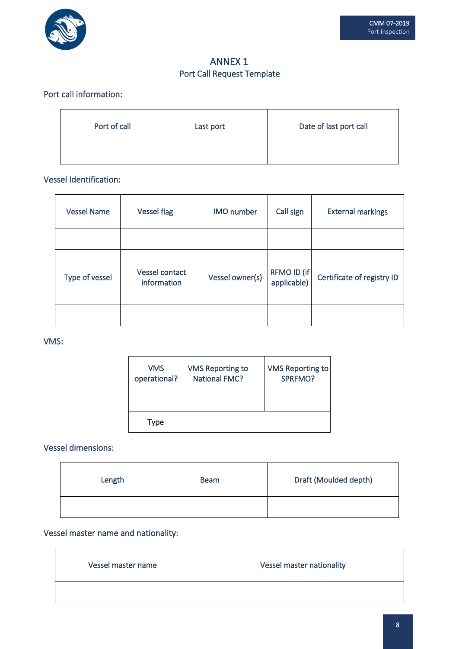

### ANNEX 1 Port Call Request Template

### Port call information:

| Port of call | Last port | Date of last port call |
|--------------|-----------|------------------------|
|              |           |                        |

### Vessel Identification:

| <b>Vessel Name</b> | <b>Vessel flag</b>            | <b>IMO</b> number | Call sign                  | <b>External markings</b>   |
|--------------------|-------------------------------|-------------------|----------------------------|----------------------------|
|                    |                               |                   |                            |                            |
| Type of vessel     | Vessel contact<br>information | Vessel owner(s)   | RFMO ID (if<br>applicable) | Certificate of registry ID |
|                    |                               |                   |                            |                            |

#### VMS:

| <b>VMS</b><br>operational? | <b>VMS Reporting to</b><br><b>National FMC?</b> | <b>VMS Reporting to</b><br>SPRFMO? |
|----------------------------|-------------------------------------------------|------------------------------------|
|                            |                                                 |                                    |
| Type                       |                                                 |                                    |

Vessel dimensions:

| Length | <b>Beam</b> | Draft (Moulded depth) |
|--------|-------------|-----------------------|
|        |             |                       |

Vessel master name and nationality:

| Vessel master name | <b>Vessel master nationality</b> |
|--------------------|----------------------------------|
|                    |                                  |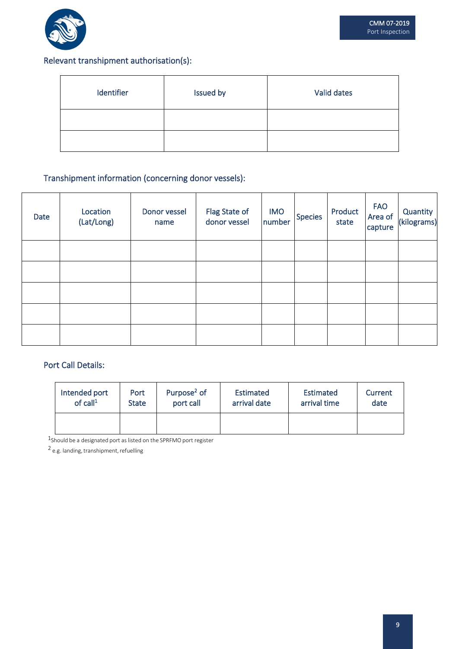

# Relevant transhipment authorisation(s):

| Identifier | Issued by | Valid dates |
|------------|-----------|-------------|
|            |           |             |
|            |           |             |

# Transhipment information (concerning donor vessels):

| Date | Location<br>(Lat/Long) | Donor vessel<br>name | Flag State of<br>donor vessel | <b>IMO</b><br>number | Species | Product<br>state | <b>FAO</b><br>Area of<br>capture | Quantity<br>(kilograms) |
|------|------------------------|----------------------|-------------------------------|----------------------|---------|------------------|----------------------------------|-------------------------|
|      |                        |                      |                               |                      |         |                  |                                  |                         |
|      |                        |                      |                               |                      |         |                  |                                  |                         |
|      |                        |                      |                               |                      |         |                  |                                  |                         |
|      |                        |                      |                               |                      |         |                  |                                  |                         |
|      |                        |                      |                               |                      |         |                  |                                  |                         |

#### Port Call Details:

| Intended port | Port         | Purpose <sup>2</sup> of | Estimated    | Estimated    | Current |
|---------------|--------------|-------------------------|--------------|--------------|---------|
| of $call1$    | <b>State</b> | port call               | arrival date | arrival time | date    |
|               |              |                         |              |              |         |

 $1$ Should be a designated port as listed on the SPRFMO port register

<sup>2</sup> e.g. landing, transhipment, refuelling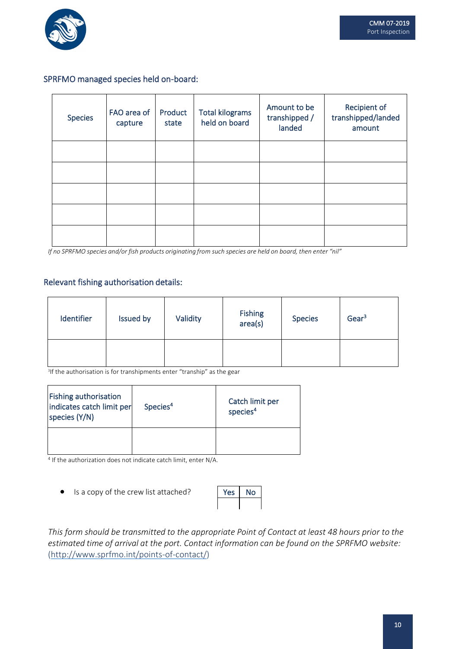

#### SPRFMO managed species held on-board:

| <b>Species</b> | FAO area of<br>capture | Product<br>state | <b>Total kilograms</b><br>held on board | Amount to be<br>transhipped /<br>landed | Recipient of<br>transhipped/landed<br>amount |
|----------------|------------------------|------------------|-----------------------------------------|-----------------------------------------|----------------------------------------------|
|                |                        |                  |                                         |                                         |                                              |
|                |                        |                  |                                         |                                         |                                              |
|                |                        |                  |                                         |                                         |                                              |
|                |                        |                  |                                         |                                         |                                              |
|                |                        |                  |                                         |                                         |                                              |

If no SPRFMO species and/or fish products originating from such species are held on board, then enter "nil"

#### Relevant fishing authorisation details:

| Identifier | <b>Issued by</b> | Validity | Fishing<br>area(s) | <b>Species</b> | Gear <sup>3</sup> |
|------------|------------------|----------|--------------------|----------------|-------------------|
|            |                  |          |                    |                |                   |

<sup>3</sup>If the authorisation is for transhipments enter "tranship" as the gear

| <b>Fishing authorisation</b><br>indicates catch limit per<br>species (Y/N) | Species <sup>4</sup> | Catch limit per<br>species <sup>4</sup> |
|----------------------------------------------------------------------------|----------------------|-----------------------------------------|
|                                                                            |                      |                                         |

<sup>4</sup> If the authorization does not indicate catch limit, enter N/A.

• Is a copy of the crew list attached?

| ٧<br>es: | ١O |
|----------|----|
|          |    |

*This form should be transmitted to the appropriate Point of Contact at least 48 hours prior to the estimated time of arrival at the port. Contact information can be found on the SPRFMO website:* [\(http://www.sprfmo.int/points-of-contact/\)](http://www.sprfmo.int/points-of-contact/)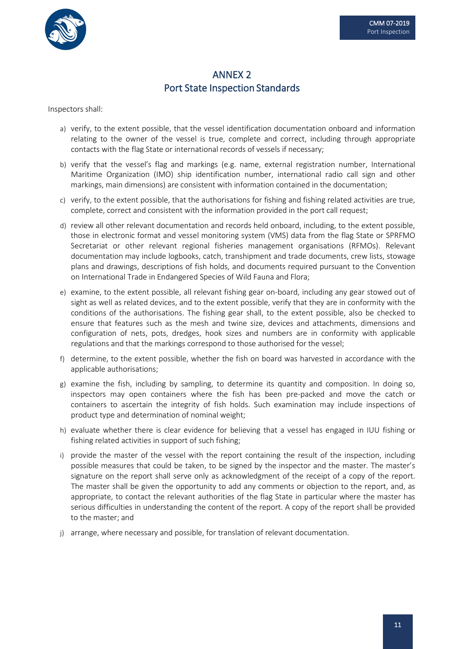

### ANNEX 2 Port State Inspection Standards

Inspectors shall:

- a) verify, to the extent possible, that the vessel identification documentation onboard and information relating to the owner of the vessel is true, complete and correct, including through appropriate contacts with the flag State or international records of vessels if necessary;
- b) verify that the vessel's flag and markings (e.g. name, external registration number, International Maritime Organization (IMO) ship identification number, international radio call sign and other markings, main dimensions) are consistent with information contained in the documentation;
- c) verify, to the extent possible, that the authorisations for fishing and fishing related activities are true, complete, correct and consistent with the information provided in the port call request;
- d) review all other relevant documentation and records held onboard, including, to the extent possible, those in electronic format and vessel monitoring system (VMS) data from the flag State or SPRFMO Secretariat or other relevant regional fisheries management organisations (RFMOs). Relevant documentation may include logbooks, catch, transhipment and trade documents, crew lists, stowage plans and drawings, descriptions of fish holds, and documents required pursuant to the Convention on International Trade in Endangered Species of Wild Fauna and Flora;
- e) examine, to the extent possible, all relevant fishing gear on-board, including any gear stowed out of sight as well as related devices, and to the extent possible, verify that they are in conformity with the conditions of the authorisations. The fishing gear shall, to the extent possible, also be checked to ensure that features such as the mesh and twine size, devices and attachments, dimensions and configuration of nets, pots, dredges, hook sizes and numbers are in conformity with applicable regulations and that the markings correspond to those authorised for the vessel;
- f) determine, to the extent possible, whether the fish on board was harvested in accordance with the applicable authorisations;
- g) examine the fish, including by sampling, to determine its quantity and composition. In doing so, inspectors may open containers where the fish has been pre-packed and move the catch or containers to ascertain the integrity of fish holds. Such examination may include inspections of product type and determination of nominal weight;
- h) evaluate whether there is clear evidence for believing that a vessel has engaged in IUU fishing or fishing related activities in support of such fishing;
- i) provide the master of the vessel with the report containing the result of the inspection, including possible measures that could be taken, to be signed by the inspector and the master. The master's signature on the report shall serve only as acknowledgment of the receipt of a copy of the report. The master shall be given the opportunity to add any comments or objection to the report, and, as appropriate, to contact the relevant authorities of the flag State in particular where the master has serious difficulties in understanding the content of the report. A copy of the report shall be provided to the master; and
- j) arrange, where necessary and possible, for translation of relevant documentation.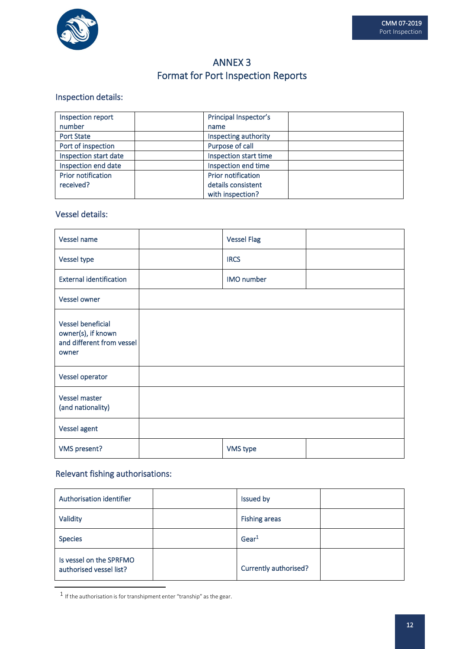

# ANNEX 3 Format for Port Inspection Reports

### Inspection details:

| Inspection report         | Principal Inspector's     |  |  |
|---------------------------|---------------------------|--|--|
| number                    | name                      |  |  |
| <b>Port State</b>         | Inspecting authority      |  |  |
| Port of inspection        | Purpose of call           |  |  |
| Inspection start date     | Inspection start time     |  |  |
| Inspection end date       | Inspection end time       |  |  |
| <b>Prior notification</b> | <b>Prior notification</b> |  |  |
| received?                 | details consistent        |  |  |
|                           | with inspection?          |  |  |

#### Vessel details:

| Vessel name                                                                          | <b>Vessel Flag</b> |  |
|--------------------------------------------------------------------------------------|--------------------|--|
| Vessel type                                                                          | <b>IRCS</b>        |  |
| <b>External identification</b>                                                       | IMO number         |  |
| <b>Vessel owner</b>                                                                  |                    |  |
| <b>Vessel beneficial</b><br>owner(s), if known<br>and different from vessel<br>owner |                    |  |
| Vessel operator                                                                      |                    |  |
| <b>Vessel master</b><br>(and nationality)                                            |                    |  |
| Vessel agent                                                                         |                    |  |
| <b>VMS</b> present?                                                                  | VMS type           |  |

# Relevant fishing authorisations:

| Authorisation identifier                           | Issued by             |
|----------------------------------------------------|-----------------------|
| Validity                                           | <b>Fishing areas</b>  |
| <b>Species</b>                                     | Gear <sup>1</sup>     |
| Is vessel on the SPRFMO<br>authorised vessel list? | Currently authorised? |

 $\mathbf 1$  If the authorisation is for transhipment enter "tranship" as the gear.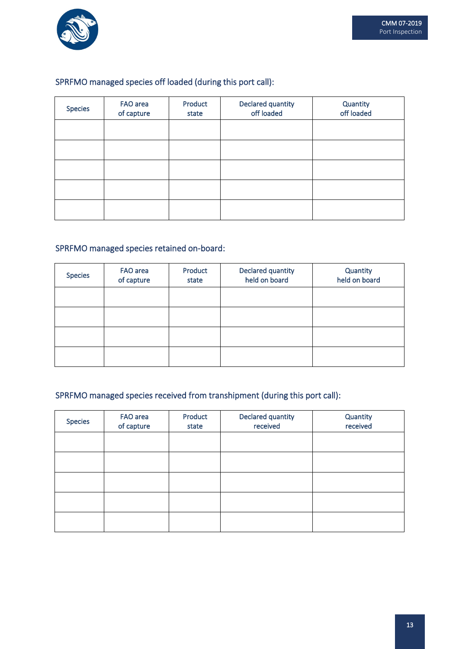

# SPRFMO managed species off loaded (during this port call):

| <b>Species</b> | FAO area<br>of capture | Product<br>state | Declared quantity<br>off loaded | Quantity<br>off loaded |
|----------------|------------------------|------------------|---------------------------------|------------------------|
|                |                        |                  |                                 |                        |
|                |                        |                  |                                 |                        |
|                |                        |                  |                                 |                        |
|                |                        |                  |                                 |                        |
|                |                        |                  |                                 |                        |

### SPRFMO managed species retained on-board:

| <b>Species</b> | FAO area<br>of capture | Product<br>state | Declared quantity<br>held on board | Quantity<br>held on board |
|----------------|------------------------|------------------|------------------------------------|---------------------------|
|                |                        |                  |                                    |                           |
|                |                        |                  |                                    |                           |
|                |                        |                  |                                    |                           |
|                |                        |                  |                                    |                           |

### SPRFMO managed species received from transhipment (during this port call):

| <b>Species</b> | FAO area<br>of capture | Product<br>state | Declared quantity<br>received | Quantity<br>received |
|----------------|------------------------|------------------|-------------------------------|----------------------|
|                |                        |                  |                               |                      |
|                |                        |                  |                               |                      |
|                |                        |                  |                               |                      |
|                |                        |                  |                               |                      |
|                |                        |                  |                               |                      |